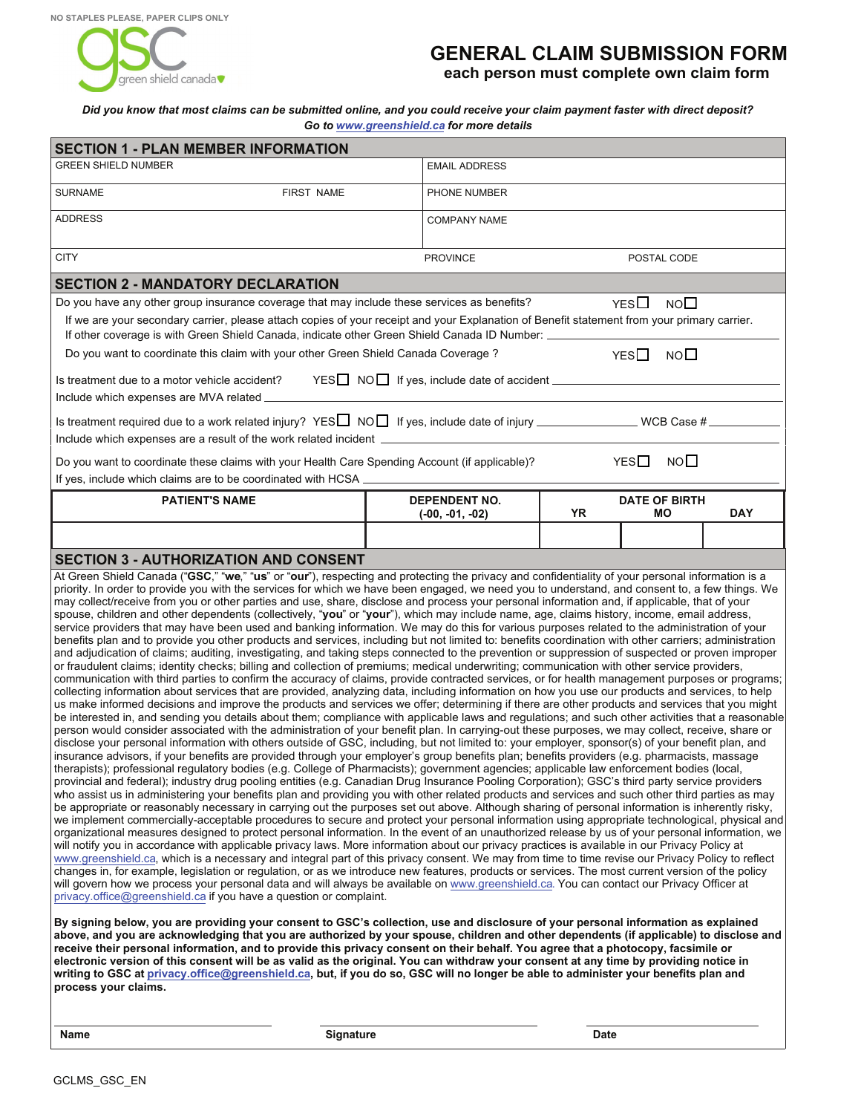

## **GENERAL CLAIM SUBMISSION FORM**

**each person must complete own claim form**

## *Did you know that most claims can be submitted online, and you could receive your claim payment faster with direct deposit? Go to www.greenshield.ca for more details*

| <b>SECTION 1 - PLAN MEMBER INFORMATION</b>                                                                                                                                                                                                                                                                                                                                                                                                                                                                                                                                                                                                                                                                                                                                                                                                                                                                                                                                                                                                                                                                                                                                                                                                                                                                                                                                                                                                                                                                                                                                                                                                                                                                                                                                                                                                                                                                                                                                                                                                                                                                                                                                                                                                                                                                                                                                                                                                                                                                                                                                                                                                                                                                                                                                                                                                                                                                                                                                                                                                                                                                                                                                                                                                                                                                                                                                                                                                                                                                                                                                                                                                                                                                                                                                                                                                                                                                                                                                                                                                                                                                                                                                                                                                                                                                                                                                                                                                                  |                                           |    |                                 |            |
|-------------------------------------------------------------------------------------------------------------------------------------------------------------------------------------------------------------------------------------------------------------------------------------------------------------------------------------------------------------------------------------------------------------------------------------------------------------------------------------------------------------------------------------------------------------------------------------------------------------------------------------------------------------------------------------------------------------------------------------------------------------------------------------------------------------------------------------------------------------------------------------------------------------------------------------------------------------------------------------------------------------------------------------------------------------------------------------------------------------------------------------------------------------------------------------------------------------------------------------------------------------------------------------------------------------------------------------------------------------------------------------------------------------------------------------------------------------------------------------------------------------------------------------------------------------------------------------------------------------------------------------------------------------------------------------------------------------------------------------------------------------------------------------------------------------------------------------------------------------------------------------------------------------------------------------------------------------------------------------------------------------------------------------------------------------------------------------------------------------------------------------------------------------------------------------------------------------------------------------------------------------------------------------------------------------------------------------------------------------------------------------------------------------------------------------------------------------------------------------------------------------------------------------------------------------------------------------------------------------------------------------------------------------------------------------------------------------------------------------------------------------------------------------------------------------------------------------------------------------------------------------------------------------------------------------------------------------------------------------------------------------------------------------------------------------------------------------------------------------------------------------------------------------------------------------------------------------------------------------------------------------------------------------------------------------------------------------------------------------------------------------------------------------------------------------------------------------------------------------------------------------------------------------------------------------------------------------------------------------------------------------------------------------------------------------------------------------------------------------------------------------------------------------------------------------------------------------------------------------------------------------------------------------------------------------------------------------------------------------------------------------------------------------------------------------------------------------------------------------------------------------------------------------------------------------------------------------------------------------------------------------------------------------------------------------------------------------------------------------------------------------------------------------------------------------------------------------|-------------------------------------------|----|---------------------------------|------------|
| <b>GREEN SHIELD NUMBER</b>                                                                                                                                                                                                                                                                                                                                                                                                                                                                                                                                                                                                                                                                                                                                                                                                                                                                                                                                                                                                                                                                                                                                                                                                                                                                                                                                                                                                                                                                                                                                                                                                                                                                                                                                                                                                                                                                                                                                                                                                                                                                                                                                                                                                                                                                                                                                                                                                                                                                                                                                                                                                                                                                                                                                                                                                                                                                                                                                                                                                                                                                                                                                                                                                                                                                                                                                                                                                                                                                                                                                                                                                                                                                                                                                                                                                                                                                                                                                                                                                                                                                                                                                                                                                                                                                                                                                                                                                                                  | <b>EMAIL ADDRESS</b>                      |    |                                 |            |
| <b>SURNAME</b><br><b>FIRST NAME</b>                                                                                                                                                                                                                                                                                                                                                                                                                                                                                                                                                                                                                                                                                                                                                                                                                                                                                                                                                                                                                                                                                                                                                                                                                                                                                                                                                                                                                                                                                                                                                                                                                                                                                                                                                                                                                                                                                                                                                                                                                                                                                                                                                                                                                                                                                                                                                                                                                                                                                                                                                                                                                                                                                                                                                                                                                                                                                                                                                                                                                                                                                                                                                                                                                                                                                                                                                                                                                                                                                                                                                                                                                                                                                                                                                                                                                                                                                                                                                                                                                                                                                                                                                                                                                                                                                                                                                                                                                         | PHONE NUMBER                              |    |                                 |            |
| <b>ADDRESS</b>                                                                                                                                                                                                                                                                                                                                                                                                                                                                                                                                                                                                                                                                                                                                                                                                                                                                                                                                                                                                                                                                                                                                                                                                                                                                                                                                                                                                                                                                                                                                                                                                                                                                                                                                                                                                                                                                                                                                                                                                                                                                                                                                                                                                                                                                                                                                                                                                                                                                                                                                                                                                                                                                                                                                                                                                                                                                                                                                                                                                                                                                                                                                                                                                                                                                                                                                                                                                                                                                                                                                                                                                                                                                                                                                                                                                                                                                                                                                                                                                                                                                                                                                                                                                                                                                                                                                                                                                                                              | <b>COMPANY NAME</b>                       |    |                                 |            |
| <b>CITY</b>                                                                                                                                                                                                                                                                                                                                                                                                                                                                                                                                                                                                                                                                                                                                                                                                                                                                                                                                                                                                                                                                                                                                                                                                                                                                                                                                                                                                                                                                                                                                                                                                                                                                                                                                                                                                                                                                                                                                                                                                                                                                                                                                                                                                                                                                                                                                                                                                                                                                                                                                                                                                                                                                                                                                                                                                                                                                                                                                                                                                                                                                                                                                                                                                                                                                                                                                                                                                                                                                                                                                                                                                                                                                                                                                                                                                                                                                                                                                                                                                                                                                                                                                                                                                                                                                                                                                                                                                                                                 | <b>PROVINCE</b>                           |    | POSTAL CODE                     |            |
| <b>SECTION 2 - MANDATORY DECLARATION</b>                                                                                                                                                                                                                                                                                                                                                                                                                                                                                                                                                                                                                                                                                                                                                                                                                                                                                                                                                                                                                                                                                                                                                                                                                                                                                                                                                                                                                                                                                                                                                                                                                                                                                                                                                                                                                                                                                                                                                                                                                                                                                                                                                                                                                                                                                                                                                                                                                                                                                                                                                                                                                                                                                                                                                                                                                                                                                                                                                                                                                                                                                                                                                                                                                                                                                                                                                                                                                                                                                                                                                                                                                                                                                                                                                                                                                                                                                                                                                                                                                                                                                                                                                                                                                                                                                                                                                                                                                    |                                           |    |                                 |            |
| Do you have any other group insurance coverage that may include these services as benefits?                                                                                                                                                                                                                                                                                                                                                                                                                                                                                                                                                                                                                                                                                                                                                                                                                                                                                                                                                                                                                                                                                                                                                                                                                                                                                                                                                                                                                                                                                                                                                                                                                                                                                                                                                                                                                                                                                                                                                                                                                                                                                                                                                                                                                                                                                                                                                                                                                                                                                                                                                                                                                                                                                                                                                                                                                                                                                                                                                                                                                                                                                                                                                                                                                                                                                                                                                                                                                                                                                                                                                                                                                                                                                                                                                                                                                                                                                                                                                                                                                                                                                                                                                                                                                                                                                                                                                                 |                                           |    | $YES$ $\Box$<br>NO <sub>1</sub> |            |
| If we are your secondary carrier, please attach copies of your receipt and your Explanation of Benefit statement from your primary carrier.<br>If other coverage is with Green Shield Canada, indicate other Green Shield Canada ID Number: _______                                                                                                                                                                                                                                                                                                                                                                                                                                                                                                                                                                                                                                                                                                                                                                                                                                                                                                                                                                                                                                                                                                                                                                                                                                                                                                                                                                                                                                                                                                                                                                                                                                                                                                                                                                                                                                                                                                                                                                                                                                                                                                                                                                                                                                                                                                                                                                                                                                                                                                                                                                                                                                                                                                                                                                                                                                                                                                                                                                                                                                                                                                                                                                                                                                                                                                                                                                                                                                                                                                                                                                                                                                                                                                                                                                                                                                                                                                                                                                                                                                                                                                                                                                                                         |                                           |    |                                 |            |
| Do you want to coordinate this claim with your other Green Shield Canada Coverage ?                                                                                                                                                                                                                                                                                                                                                                                                                                                                                                                                                                                                                                                                                                                                                                                                                                                                                                                                                                                                                                                                                                                                                                                                                                                                                                                                                                                                                                                                                                                                                                                                                                                                                                                                                                                                                                                                                                                                                                                                                                                                                                                                                                                                                                                                                                                                                                                                                                                                                                                                                                                                                                                                                                                                                                                                                                                                                                                                                                                                                                                                                                                                                                                                                                                                                                                                                                                                                                                                                                                                                                                                                                                                                                                                                                                                                                                                                                                                                                                                                                                                                                                                                                                                                                                                                                                                                                         |                                           |    | NO <sub>1</sub><br>YES□         |            |
| Is treatment due to a motor vehicle accident?<br>Include which expenses are MVA related _________                                                                                                                                                                                                                                                                                                                                                                                                                                                                                                                                                                                                                                                                                                                                                                                                                                                                                                                                                                                                                                                                                                                                                                                                                                                                                                                                                                                                                                                                                                                                                                                                                                                                                                                                                                                                                                                                                                                                                                                                                                                                                                                                                                                                                                                                                                                                                                                                                                                                                                                                                                                                                                                                                                                                                                                                                                                                                                                                                                                                                                                                                                                                                                                                                                                                                                                                                                                                                                                                                                                                                                                                                                                                                                                                                                                                                                                                                                                                                                                                                                                                                                                                                                                                                                                                                                                                                           |                                           |    |                                 |            |
| Is treatment required due to a work related injury? YES $\square$ NO $\square$ If yes, include date of injury _____________________ WCB Case # _______                                                                                                                                                                                                                                                                                                                                                                                                                                                                                                                                                                                                                                                                                                                                                                                                                                                                                                                                                                                                                                                                                                                                                                                                                                                                                                                                                                                                                                                                                                                                                                                                                                                                                                                                                                                                                                                                                                                                                                                                                                                                                                                                                                                                                                                                                                                                                                                                                                                                                                                                                                                                                                                                                                                                                                                                                                                                                                                                                                                                                                                                                                                                                                                                                                                                                                                                                                                                                                                                                                                                                                                                                                                                                                                                                                                                                                                                                                                                                                                                                                                                                                                                                                                                                                                                                                      |                                           |    |                                 |            |
| Include which expenses are a result of the work related incident __________________________________<br>YES□<br>NO <sub>1</sub><br>Do you want to coordinate these claims with your Health Care Spending Account (if applicable)?                                                                                                                                                                                                                                                                                                                                                                                                                                                                                                                                                                                                                                                                                                                                                                                                                                                                                                                                                                                                                                                                                                                                                                                                                                                                                                                                                                                                                                                                                                                                                                                                                                                                                                                                                                                                                                                                                                                                                                                                                                                                                                                                                                                                                                                                                                                                                                                                                                                                                                                                                                                                                                                                                                                                                                                                                                                                                                                                                                                                                                                                                                                                                                                                                                                                                                                                                                                                                                                                                                                                                                                                                                                                                                                                                                                                                                                                                                                                                                                                                                                                                                                                                                                                                            |                                           |    |                                 |            |
| If yes, include which claims are to be coordinated with HCSA _                                                                                                                                                                                                                                                                                                                                                                                                                                                                                                                                                                                                                                                                                                                                                                                                                                                                                                                                                                                                                                                                                                                                                                                                                                                                                                                                                                                                                                                                                                                                                                                                                                                                                                                                                                                                                                                                                                                                                                                                                                                                                                                                                                                                                                                                                                                                                                                                                                                                                                                                                                                                                                                                                                                                                                                                                                                                                                                                                                                                                                                                                                                                                                                                                                                                                                                                                                                                                                                                                                                                                                                                                                                                                                                                                                                                                                                                                                                                                                                                                                                                                                                                                                                                                                                                                                                                                                                              |                                           |    |                                 |            |
| <b>PATIENT'S NAME</b>                                                                                                                                                                                                                                                                                                                                                                                                                                                                                                                                                                                                                                                                                                                                                                                                                                                                                                                                                                                                                                                                                                                                                                                                                                                                                                                                                                                                                                                                                                                                                                                                                                                                                                                                                                                                                                                                                                                                                                                                                                                                                                                                                                                                                                                                                                                                                                                                                                                                                                                                                                                                                                                                                                                                                                                                                                                                                                                                                                                                                                                                                                                                                                                                                                                                                                                                                                                                                                                                                                                                                                                                                                                                                                                                                                                                                                                                                                                                                                                                                                                                                                                                                                                                                                                                                                                                                                                                                                       | <b>DEPENDENT NO.</b><br>$(-00, -01, -02)$ | YR | <b>DATE OF BIRTH</b><br>MО      | <b>DAY</b> |
|                                                                                                                                                                                                                                                                                                                                                                                                                                                                                                                                                                                                                                                                                                                                                                                                                                                                                                                                                                                                                                                                                                                                                                                                                                                                                                                                                                                                                                                                                                                                                                                                                                                                                                                                                                                                                                                                                                                                                                                                                                                                                                                                                                                                                                                                                                                                                                                                                                                                                                                                                                                                                                                                                                                                                                                                                                                                                                                                                                                                                                                                                                                                                                                                                                                                                                                                                                                                                                                                                                                                                                                                                                                                                                                                                                                                                                                                                                                                                                                                                                                                                                                                                                                                                                                                                                                                                                                                                                                             |                                           |    |                                 |            |
| <b>SECTION 3 - AUTHORIZATION AND CONSENT</b>                                                                                                                                                                                                                                                                                                                                                                                                                                                                                                                                                                                                                                                                                                                                                                                                                                                                                                                                                                                                                                                                                                                                                                                                                                                                                                                                                                                                                                                                                                                                                                                                                                                                                                                                                                                                                                                                                                                                                                                                                                                                                                                                                                                                                                                                                                                                                                                                                                                                                                                                                                                                                                                                                                                                                                                                                                                                                                                                                                                                                                                                                                                                                                                                                                                                                                                                                                                                                                                                                                                                                                                                                                                                                                                                                                                                                                                                                                                                                                                                                                                                                                                                                                                                                                                                                                                                                                                                                |                                           |    |                                 |            |
| priority. In order to provide you with the services for which we have been engaged, we need you to understand, and consent to, a few things. We<br>may collect/receive from you or other parties and use, share, disclose and process your personal information and, if applicable, that of your<br>spouse, children and other dependents (collectively, "you" or "your"), which may include name, age, claims history, income, email address,<br>service providers that may have been used and banking information. We may do this for various purposes related to the administration of your<br>benefits plan and to provide you other products and services, including but not limited to: benefits coordination with other carriers; administration<br>and adjudication of claims; auditing, investigating, and taking steps connected to the prevention or suppression of suspected or proven improper<br>or fraudulent claims; identity checks; billing and collection of premiums; medical underwriting; communication with other service providers,<br>communication with third parties to confirm the accuracy of claims, provide contracted services, or for health management purposes or programs;<br>collecting information about services that are provided, analyzing data, including information on how you use our products and services, to help<br>us make informed decisions and improve the products and services we offer; determining if there are other products and services that you might<br>be interested in, and sending you details about them; compliance with applicable laws and regulations; and such other activities that a reasonable<br>person would consider associated with the administration of your benefit plan. In carrying-out these purposes, we may collect, receive, share or<br>disclose your personal information with others outside of GSC, including, but not limited to: your employer, sponsor(s) of your benefit plan, and<br>insurance advisors, if your benefits are provided through your employer's group benefits plan; benefits providers (e.g. pharmacists, massage<br>therapists); professional regulatory bodies (e.g. College of Pharmacists); government agencies; applicable law enforcement bodies (local,<br>provincial and federal); industry drug pooling entities (e.g. Canadian Drug Insurance Pooling Corporation); GSC's third party service providers<br>who assist us in administering your benefits plan and providing you with other related products and services and such other third parties as may<br>be appropriate or reasonably necessary in carrying out the purposes set out above. Although sharing of personal information is inherently risky,<br>we implement commercially-acceptable procedures to secure and protect your personal information using appropriate technological, physical and<br>organizational measures designed to protect personal information. In the event of an unauthorized release by us of your personal information, we<br>will notify you in accordance with applicable privacy laws. More information about our privacy practices is available in our Privacy Policy at<br>www.greenshield.ca, which is a necessary and integral part of this privacy consent. We may from time to time revise our Privacy Policy to reflect<br>changes in, for example, legislation or regulation, or as we introduce new features, products or services. The most current version of the policy<br>will govern how we process your personal data and will always be available on www.greenshield.ca. You can contact our Privacy Officer at<br>privacy office@greenshield.ca if you have a question or complaint.<br>By signing below, you are providing your consent to GSC's collection, use and disclosure of your personal information as explained<br>above, and you are acknowledging that you are authorized by your spouse, children and other dependents (if applicable) to disclose and<br>receive their personal information, and to provide this privacy consent on their behalf. You agree that a photocopy, facsimile or<br>electronic version of this consent will be as valid as the original. You can withdraw your consent at any time by providing notice in<br>writing to GSC at privacy.office@greenshield.ca, but, if you do so, GSC will no longer be able to administer your benefits plan and<br>process your claims. |                                           |    |                                 |            |

**Name Date Signature Signature Signature Date Date**